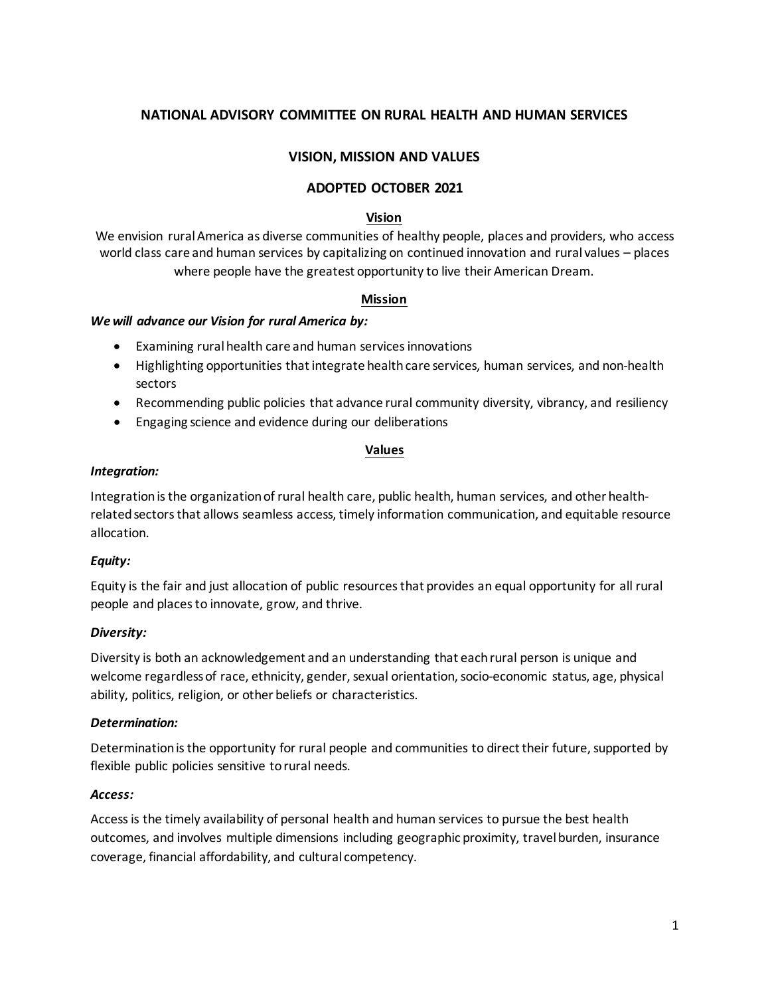# **NATIONAL ADVISORY COMMITTEE ON RURAL HEALTH AND HUMAN SERVICES**

### **VISION, MISSION AND VALUES**

#### **ADOPTED OCTOBER 2021**

#### **Vision**

We envision rural America as diverse communities of healthy people, places and providers, who access world class care and human services by capitalizing on continued innovation and rural values – places where people have the greatest opportunity to live their American Dream.

#### **Mission**

#### *We will advance our Vision for rural America by:*

- Examining rural health care and human services innovations
- Highlighting opportunities that integrate health care services, human services, and non-health sectors
- Recommending public policies that advance rural community diversity, vibrancy, and resiliency
- Engaging science and evidence during our deliberations

#### **Values**

#### *Integration:*

Integration is the organization of rural health care, public health, human services, and other healthrelated sectors that allows seamless access, timely information communication, and equitable resource allocation.

#### *Equity:*

Equity is the fair and just allocation of public resources that provides an equal opportunity for all rural people and places to innovate, grow, and thrive.

#### *Diversity:*

Diversity is both an acknowledgement and an understanding that each rural person is unique and welcome regardless of race, ethnicity, gender, sexual orientation, socio-economic status, age, physical ability, politics, religion, or other beliefs or characteristics.

#### *Determination:*

Determination is the opportunity for rural people and communities to direct their future, supported by flexible public policies sensitive to rural needs.

#### *Access:*

Access is the timely availability of personal health and human services to pursue the best health outcomes, and involves multiple dimensions including geographic proximity, travel burden, insurance coverage, financial affordability, and cultural competency.